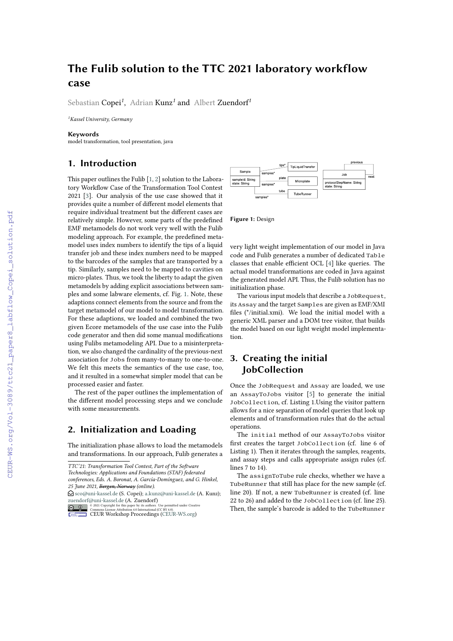# **The Fulib solution to the TTC 2021 laboratory workflow case**

Sebastian Copei*<sup>1</sup>* , Adrian Kunz*<sup>1</sup>* and Albert Zuendorf*<sup>1</sup>*

*<sup>1</sup>Kassel University, Germany*

#### **Keywords**

model transformation, tool presentation, java

## **1. Introduction**

This paper outlines the Fulib [\[1,](#page--1-0) [2\]](#page--1-1) solution to the Laboratory Workflow Case of the Transformation Tool Contest 2021 [\[3\]](#page--1-2). Our analysis of the use case showed that it provides quite a number of different model elements that require individual treatment but the different cases are relatively simple. However, some parts of the predefined EMF metamodels do not work very well with the Fulib modeling approach. For example, the predefined metamodel uses index numbers to identify the tips of a liquid transfer job and these index numbers need to be mapped to the barcodes of the samples that are transported by a tip. Similarly, samples need to be mapped to cavities on micro-plates. Thus, we took the liberty to adapt the given metamodels by adding explicit associations between samples and some labware elements, cf. Fig. [1.](#page-0-0) Note, these adaptions connect elements from the source and from the target metamodel of our model to model transformation. For these adaptions, we loaded and combined the two given Ecore metamodels of the use case into the Fulib code generator and then did some manual modifications using Fulibs metamodeling API. Due to a misinterpretation, we also changed the cardinality of the previous-next association for Jobs from many-to-many to one-to-one. We felt this meets the semantics of the use case, too, and it resulted in a somewhat simpler model that can be processed easier and faster.

The rest of the paper outlines the implementation of the different model processing steps and we conclude with some measurements.

### **2. Initialization and Loading**

The initialization phase allows to load the metamodels and transformations. In our approach, Fulib generates a

 $\bigcirc$  [sco@uni-kassel.de](mailto:sco@uni-kassel.de) (S. Copei); [a.kunz@uni-kassel.de](mailto:a.kunz@uni-kassel.de) (A. Kunz); [zuendorf@uni-kassel.de](mailto:zuendorf@uni-kassel.de) (A. Zuendorf)





<span id="page-0-0"></span>**Figure 1:** Design

very light weight implementation of our model in Java code and Fulib generates a number of dedicated Table classes that enable efficient OCL [\[4\]](#page--1-3) like queries. The actual model transformations are coded in Java against the generated model API. Thus, the Fulib solution has no initialization phase.

The various input models that describe a JobRequest, its Assay and the target Samples are given as EMF/XMI files (\*/initial.xmi). We load the initial model with a generic XML parser and a DOM tree visitor, that builds the model based on our light weight model implementation.

### **3. Creating the initial JobCollection**

Once the JobRequest and Assay are loaded, we use an AssayToJobs visitor [\[5\]](#page--1-4) to generate the initial JobCollection, cf. Listing 1.Using the visitor pattern allows for a nice separation of model queries that look up elements and of transformation rules that do the actual operations.

The initial method of our AssayToJobs visitor first creates the target JobCollection (cf. line 6 of Listing 1). Then it iterates through the samples, reagents, and assay steps and calls appropriate assign rules (cf. lines 7 to 14).

The assignToTube rule checks, whether we have a TubeRunner that still has place for the new sample (cf. line 20). If not, a new TubeRunner is created (cf. line 22 to 26) and added to the JobCollection (cf. line 25). Then, the sample's barcode is added to the TubeRunner

*TTC'21: Transformation Tool Contest, Part of the Software*

*Technologies: Applications and Foundations (STAF) federated conferences, Eds. A. Boronat, A. García-Domínguez, and G. Hinkel, 25 June 2021, Bergen, Norway (online).*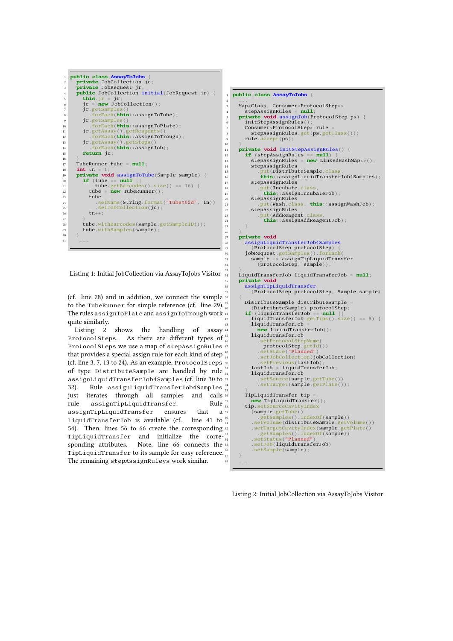```
1 public class AssayToJobs {
 2 private JobCollection jc;
3 private JobRequest jr;
public JobCollection initial(JobRequest jr) {<br>this ir = ir:
 5 this.jr = jr;
6 jc = new JobCollection();
 7 jr.getSamples()
8 .forEach(this::assignToTube);
9 jr.getSamples()
10 .forEach(this::assignToPlate);
11 jr.getAssay().getReagents()
12 .forEach(this::assignToTrough);
13 jr.getAssay().getSteps()
14 .forEach(this::assignJob);
15 return jc;
\frac{16}{17}17 TubeRunner tube = null;<br>18 int tn = 1:
18 int tn = 1;
19 private void assignToTube(Sample sample) {
20 if (tube == null ||
21 tube.getBarcodes().size() == 16) {
22 tube = new TubeRunner();
\begin{array}{ccc}\n & \text{23} & \text{tube} \\
 & \text{24} & \text{B} \\
\end{array}.setName(String.format("Tube%02d", tn))
25 . setJobCollection(jc);<br>
\tan+1;
             t_{n++}\frac{27}{28}<sup>28</sup> tube.withBarcodes(sample.getSampleID());<br>tube.withSamples(sample);
          tube.withSamples(sample);
\frac{30}{31}31 ...
```
 $\begin{array}{c} 10 \\ 11 \end{array}$ 

25 }  $\frac{26}{27}$ 

Listing 1: Initial JobCollection via AssayToJobs Visitor

(cf. line 28) and in addition, we connect the sample 38 { to the TubeRunner for simple reference (cf. line 29). The rules assignToPlate and assignToTrough work quite similarly.

Listing 2 shows the handling of assay 44 ProtocolSteps. As there are different types of  $^{45}_{46}$ ProtocolSteps we use a map of stepAssignRules 47 that provides a special assign rule for each kind of step  $^{48}_{49}$ (cf. line 3, 7, 13 to 24). As an example, ProtocolSteps of type DistributeSample are handled by rule assignLiquidTransferJob4Samples (cf. line 30 to 32). Rule assignLiquidTransferJob4Samples  $\frac{54}{55}$ just iterates through all samples and calls  $\frac{1}{3}$ <br>rule assignTipLiquidTransfer. Rule  $\frac{57}{38}$ rule assignTipLiquidTransfer. assignTipLiquidTransfer ensures that a LiquidTransferJob is available (cf. line 41 to  $\frac{60}{61}$ 54). Then, lines 56 to 66 create the corresponding  $a$ <sup>2</sup> TipLiquidTransfer and initialize the corre- $\frac{63}{64}$ sponding attributes. Note, line 66 connects the 65 TipLiquidTransfer to its sample for easy reference. $\frac{16}{67}$   $\qquad$   $\frac{1}{2}$ The remaining stepAssignRuleys work similar.

```
1 public class AssayToJobs {
 2 ...
        Map<Class, Consumer<ProtocolStep>>
 4 stepAssignRules = null;
5 private void assignJob(ProtocolStep ps) {
6 initStepAssignRules();
7<br>
Consumer<ProtocolStep> rule<br>
stepAssignRules.get(ps.get)
               \verb|stepAssignRules.get(ps.getClass())\text{;}% \label{fig:box}% \includegraphics[width=0.4\textwidth]{figures/h1} \caption{The 3D (black) model is a 3D (black) model. The 3D (black) model is a 3D (black) model. The 3D (black) model is a 3D (black) model. The 3D (black) model is a 3D (black). The 3D (black) model is a 3D (black). The 3D (black) model is a 3D (black). The 3D (black) model is a 3D (black). The 3D (black) model is a 3D (black). The 3D (black) model is a 3D (black). The 3D (black) model is a 3D (black). The 3D (black) model is a rule.accept(ps);
\text{11} \quad \text{private void intStepAssignRules}() {<br>
\text{12} \quad \text{if (stensasismRules == null)} \quad \text{13}if (stepAssignRules == null)
13 StepAssignRules = <b>new LinkedHashMap <> ();
14 stepAssignRules<br>
15 .put(DistributeSample.class,
16 this::assignLiquidTransferJob4Samples);<br>stepAssignRules
17 stepAssignRules<br>18 .put(Incubate
18 .put(Incubate.cla<br>this: : assign Inc.
                       19 this::assignIncubateJob);
20 stepAssignRules<br>21 .put(Wash.clas
21 .put(Wash.class, this::assignWashJob);
22 stepAssignRules
23 .put(AddReagent.class,
24 this::assignAddReagentJob);
        27 private void
28 assignLiquidTransferJob4Samples
29 (ProtocolStep protocolStep) {
30 jobRequest.getSamples().forEach(
31 sample -> assignTipLiquidTransfer
                   iproto colStep, sample);
33 }
        34 LiquidTransferJob liquidTransferJob = null;
35 private void
36 assignTipLiquidTransfer
               ( {\tt ProtocolStep~protocolStep,~Sample~sample})39 DistributeSample distributeSample =
40 (DistributeSample) protocolStep;
41 if (liquidTransferJob == null ||
42 liquidTransferJob.getTips().size() == 8) {
                43 liquidTransferJob =
44 new LiquidTransferJob();
45 liquidTransferJob
46 .setProtocolStepName(
47 protocolStep.getId())
48 .setState("Planned")
49 .setJobCollection(jobCollection)
                     setPrevious(lastJob)
                lastJob = liquidTransferJob;liquidTransferJob
53 .setSource(sample.getTube())
54 .setTarget(sample.getPlate());
            56 TipLiquidTransfer tip =
            new TipLiquidTransfer();<br>tip.setSourceCavityIndex
58 tip.setSourceCavityIndex
59 (sample.getTube()
60 .getSamples().indexOf(sample))
61 .setVolume(distributeSample.getVolume())
62 .setTargetCavityIndex(sample.getPlate()
63 .getSamples().indexOf(sample))
                .setStatus("Planned")
                .setJob(liquidTransferJob)
                 .setSample(sample);
68 ...
```
Listing 2: Initial JobCollection via AssayToJobs Visitor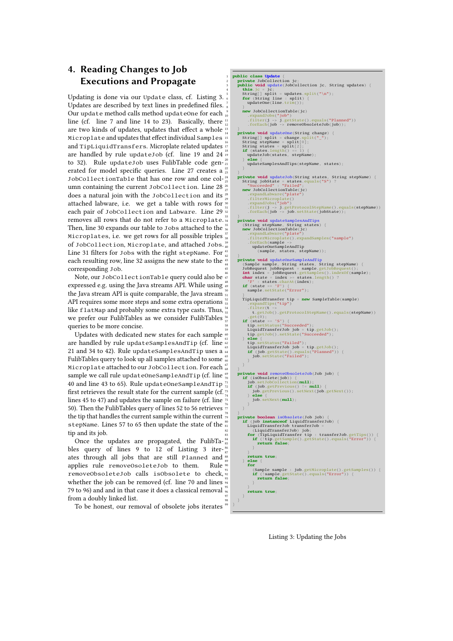# **4. Reading Changes to Job Executions and Propagate**

Updating is done via our Update class, cf. Listing 3. 5 Updates are described by text lines in predefined files. Our update method calls method updateOne for each  $\frac{9}{10}$ line (cf. line 7 and line 14 to 23). Basically, there  $\frac{11}{10}$ are two kinds of updates, updates that effect a whole  $\frac{13}{14}$ Microplate and updates that effect individual Samples<sup>15</sup> and TipLiquidTransfers. Microplate related updates are handled by rule updateJob (cf. line 19 and 24 $^{\frac{18}{19}}$ to 32). Rule updateJob uses FulibTable code gen- $_{21}^{20}$ erated for model specific queries. Line 27 creates a JobCollectionTable that has one row and one column containing the current JobCollection. Line 28  $\frac{26}{27}$ does a natural join with the JobCollection and its attached labware, i.e. we get a table with rows for  $\frac{2}{30}$ each pair of JobCollection and Labware. Line 29 32 removes all rows that do not refer to a Microplate.  $33\frac{3}{9}$ Then, line 30 expands our table to Jobs attached to the  $\frac{35}{36}$ Microplates, i.e. we get rows for all possible triples  $\frac{37}{38}$ of JobCollection, Microplate, and attached Jobs.<sup>39</sup> Line 31 filters for Jobs with the right stepName. For 4 each resulting row, line 32 assigns the new state to the corresponding Job.

Note, our JobCollectionTable query could also be  $\frac{46}{47}$ expressed e.g. using the Java streams API. While using  $\frac{16}{49}$ the Java stream API is quite comparable, the Java stream  $\frac{50}{51}$ API requires some more steps and some extra operations  $\frac{52}{53}$ like flatMap and probably some extra type casts. Thus,  $^{54}$ we prefer our FulibTables as we consider FulibTables  $\frac{56}{52}$ queries to be more concise.

Updates with dedicated new states for each sample  $\frac{60}{61}$ are handled by rule updateSamplesAndTip (cf. line  $\frac{61}{62}$ 21 and 34 to 42). Rule updateSamplesAndTip uses a  $\frac{63}{64}$ FulibTables query to look up all samples attached to some  $\frac{36}{66}$  . The system Microplate attached to our JobCollection. For each  $\frac{67}{68}$   $\longrightarrow$   $\frac{3}{2}$ sample we call rule updateOneSampleAndTip (cf. line  $\frac{69}{70}$ 40 and line 43 to 65). Rule updateOneSampleAndTip<sup>7</sup> first retrieves the result state for the current sample (cf.  $\frac{1}{2}$ ) lines 45 to 47) and updates the sample on failure (cf. line  $\frac{1}{75}$ 50). Then the FulibTables query of lines 52 to 56 retrieves  $\frac{77}{77}$ the tip that handles the current sample within the current  $\frac{78}{79}$ stepName. Lines 57 to 65 then update the state of the  $\frac{80}{81}$ tip and its job.

Once the updates are propagated, the FulibTa- $^{84}_{85}$ bles query of lines 9 to 12 of Listing 3 iter- $\frac{86}{87}$  (b) ates through all jobs that are still Planned and applies rule removeOsoleteJob to them. Rule removeObsoleteJob calls isObsolete to check, whether the job can be removed (cf. line 70 and lines  $\frac{3}{9}$ 79 to 96) and and in that case it does a classical removal  $\frac{95}{96}$ from a doubly linked list.

To be honest, our removal of obsolete jobs iterates



Listing 3: Updating the Jobs